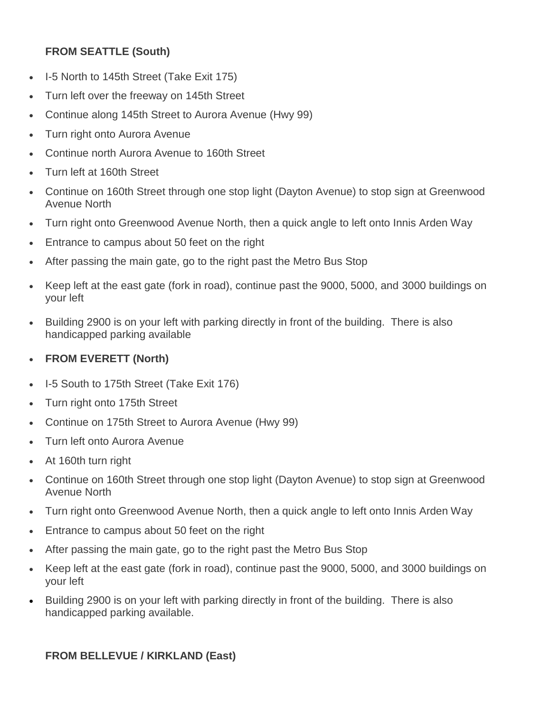## **FROM SEATTLE (South)**

- I-5 North to 145th Street (Take Exit 175)
- Turn left over the freeway on 145th Street
- Continue along 145th Street to Aurora Avenue (Hwy 99)
- Turn right onto Aurora Avenue
- Continue north Aurora Avenue to 160th Street
- Turn left at 160th Street
- Continue on 160th Street through one stop light (Dayton Avenue) to stop sign at Greenwood Avenue North
- Turn right onto Greenwood Avenue North, then a quick angle to left onto Innis Arden Way
- **Entrance to campus about 50 feet on the right**
- After passing the main gate, go to the right past the Metro Bus Stop
- Keep left at the east gate (fork in road), continue past the 9000, 5000, and 3000 buildings on your left
- Building 2900 is on your left with parking directly in front of the building. There is also handicapped parking available
- **FROM EVERETT (North)**
- I-5 South to 175th Street (Take Exit 176)
- Turn right onto 175th Street
- Continue on 175th Street to Aurora Avenue (Hwy 99)
- Turn left onto Aurora Avenue
- At 160th turn right
- Continue on 160th Street through one stop light (Dayton Avenue) to stop sign at Greenwood Avenue North
- Turn right onto Greenwood Avenue North, then a quick angle to left onto Innis Arden Way
- **Entrance to campus about 50 feet on the right**
- After passing the main gate, go to the right past the Metro Bus Stop
- Keep left at the east gate (fork in road), continue past the 9000, 5000, and 3000 buildings on your left
- Building 2900 is on your left with parking directly in front of the building. There is also handicapped parking available.

## **FROM BELLEVUE / KIRKLAND (East)**